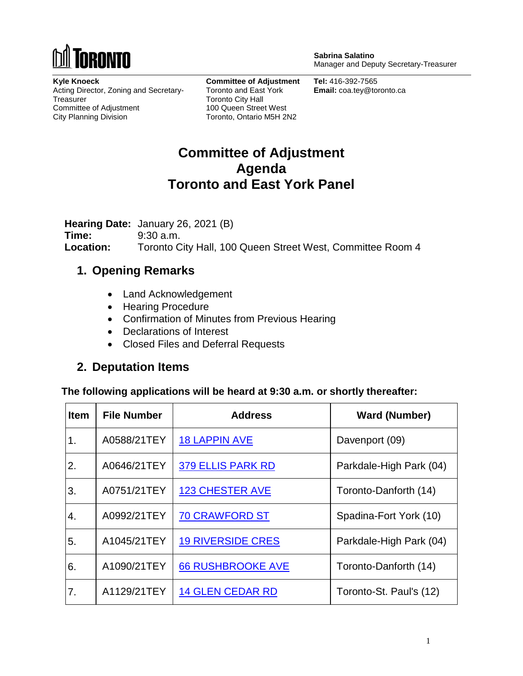

**Sabrina Salatino** Manager and Deputy Secretary-Treasurer

**Kyle Knoeck** Acting Director, Zoning and Secretary-**Treasurer** Committee of Adjustment City Planning Division

**Committee of Adjustment** Toronto and East York Toronto City Hall 100 Queen Street West Toronto, Ontario M5H 2N2

**Tel:** 416-392-7565 **Email:** coa.tey@toronto.ca

## **Committee of Adjustment Agenda Toronto and East York Panel**

**Hearing Date:** January 26, 2021 (B) **Time:** 9:30 a.m. **Location:** Toronto City Hall, 100 Queen Street West, Committee Room 4

### **1. Opening Remarks**

- Land Acknowledgement
- Hearing Procedure
- Confirmation of Minutes from Previous Hearing
- Declarations of Interest
- Closed Files and Deferral Requests

### **2. Deputation Items**

**The following applications will be heard at 9:30 a.m. or shortly thereafter:**

| <b>Item</b>      | <b>File Number</b> | <b>Address</b>           | <b>Ward (Number)</b>    |
|------------------|--------------------|--------------------------|-------------------------|
| 1.               | A0588/21TEY        | <b>18 LAPPIN AVE</b>     | Davenport (09)          |
| 2.               | A0646/21TEY        | <b>379 ELLIS PARK RD</b> | Parkdale-High Park (04) |
| 3.               | A0751/21TEY        | <b>123 CHESTER AVE</b>   | Toronto-Danforth (14)   |
| $\overline{4}$ . | A0992/21TEY        | <b>70 CRAWFORD ST</b>    | Spadina-Fort York (10)  |
| 5.               | A1045/21TEY        | <b>19 RIVERSIDE CRES</b> | Parkdale-High Park (04) |
| 6.               | A1090/21TEY        | <b>66 RUSHBROOKE AVE</b> | Toronto-Danforth (14)   |
| 7.               | A1129/21TEY        | <b>14 GLEN CEDAR RD</b>  | Toronto-St. Paul's (12) |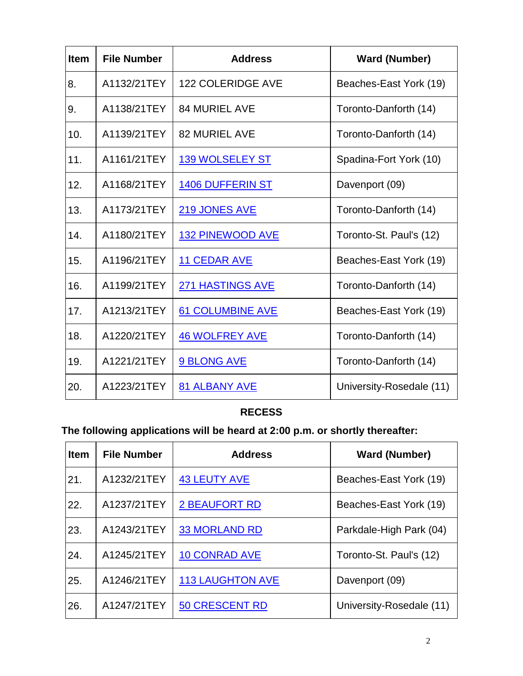| <b>Item</b> | <b>File Number</b> | <b>Address</b>           | <b>Ward (Number)</b>     |
|-------------|--------------------|--------------------------|--------------------------|
| 8.          | A1132/21TEY        | <b>122 COLERIDGE AVE</b> | Beaches-East York (19)   |
| 9.          | A1138/21TEY        | <b>84 MURIEL AVE</b>     | Toronto-Danforth (14)    |
| 10.         | A1139/21TEY        | <b>82 MURIEL AVE</b>     | Toronto-Danforth (14)    |
| 11.         | A1161/21TEY        | <b>139 WOLSELEY ST</b>   | Spadina-Fort York (10)   |
| 12.         | A1168/21TEY        | <b>1406 DUFFERIN ST</b>  | Davenport (09)           |
| 13.         | A1173/21TEY        | <b>219 JONES AVE</b>     | Toronto-Danforth (14)    |
| 14.         | A1180/21TEY        | <b>132 PINEWOOD AVE</b>  | Toronto-St. Paul's (12)  |
| 15.         | A1196/21TEY        | <b>11 CEDAR AVE</b>      | Beaches-East York (19)   |
| 16.         | A1199/21TEY        | <b>271 HASTINGS AVE</b>  | Toronto-Danforth (14)    |
| 17.         | A1213/21TEY        | <b>61 COLUMBINE AVE</b>  | Beaches-East York (19)   |
| 18.         | A1220/21TEY        | <b>46 WOLFREY AVE</b>    | Toronto-Danforth (14)    |
| 19.         | A1221/21TEY        | 9 BLONG AVE              | Toronto-Danforth (14)    |
| 20.         | A1223/21TEY        | 81 ALBANY AVE            | University-Rosedale (11) |

### **RECESS**

# **The following applications will be heard at 2:00 p.m. or shortly thereafter:**

| <b>Item</b> | <b>File Number</b> | <b>Address</b>          | <b>Ward (Number)</b>     |
|-------------|--------------------|-------------------------|--------------------------|
| 21.         | A1232/21TEY        | <b>43 LEUTY AVE</b>     | Beaches-East York (19)   |
| 22.         | A1237/21TEY        | <b>2 BEAUFORT RD</b>    | Beaches-East York (19)   |
| 23.         | A1243/21TEY        | <b>33 MORLAND RD</b>    | Parkdale-High Park (04)  |
| 24.         | A1245/21TEY        | <b>10 CONRAD AVE</b>    | Toronto-St. Paul's (12)  |
| 25.         | A1246/21TEY        | <b>113 LAUGHTON AVE</b> | Davenport (09)           |
| 26.         | A1247/21TEY        | <b>50 CRESCENT RD</b>   | University-Rosedale (11) |